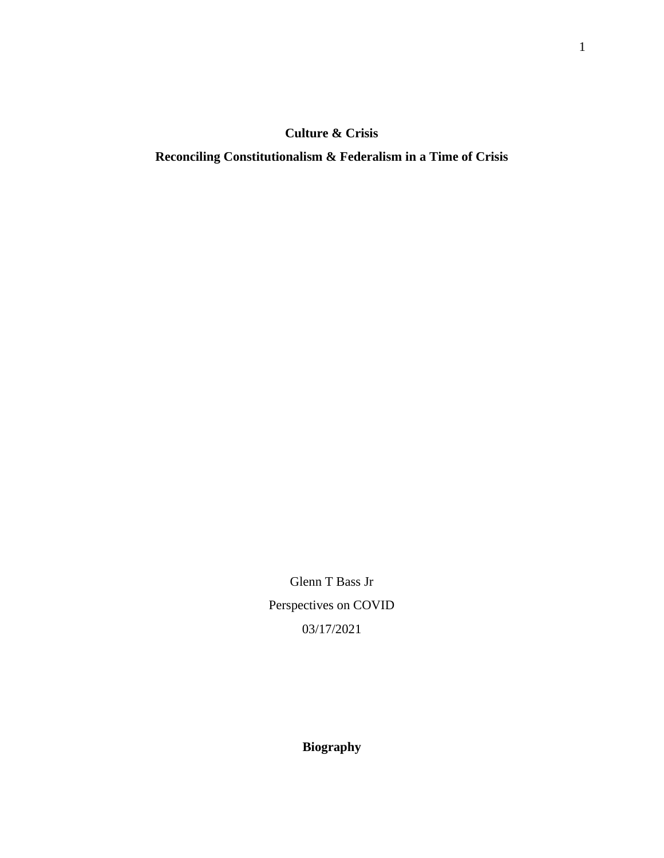# **Culture & Crisis**

**Reconciling Constitutionalism & Federalism in a Time of Crisis**

Glenn T Bass Jr Perspectives on COVID 03/17/2021

**Biography**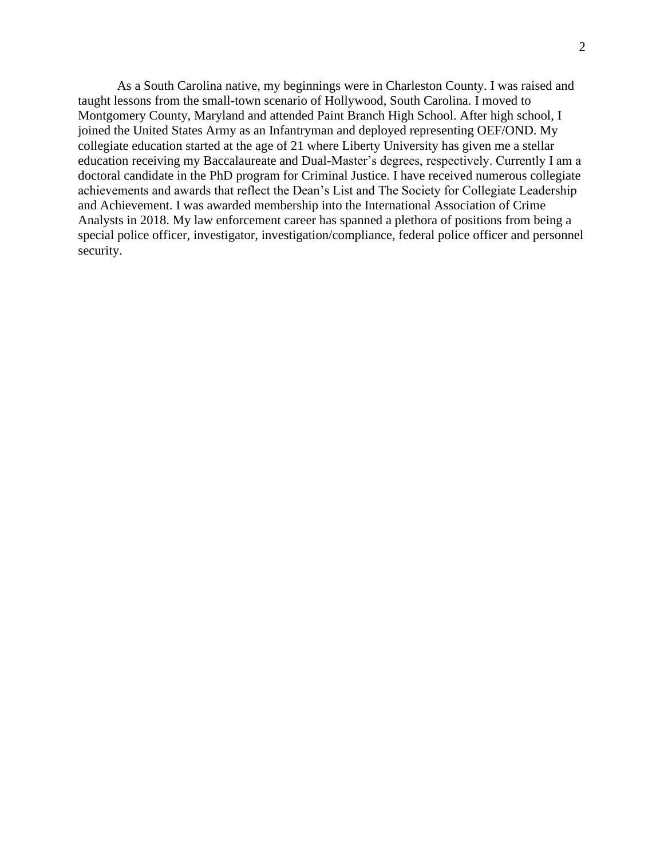As a South Carolina native, my beginnings were in Charleston County. I was raised and taught lessons from the small-town scenario of Hollywood, South Carolina. I moved to Montgomery County, Maryland and attended Paint Branch High School. After high school, I joined the United States Army as an Infantryman and deployed representing OEF/OND. My collegiate education started at the age of 21 where Liberty University has given me a stellar education receiving my Baccalaureate and Dual-Master's degrees, respectively. Currently I am a doctoral candidate in the PhD program for Criminal Justice. I have received numerous collegiate achievements and awards that reflect the Dean's List and The Society for Collegiate Leadership and Achievement. I was awarded membership into the International Association of Crime Analysts in 2018. My law enforcement career has spanned a plethora of positions from being a special police officer, investigator, investigation/compliance, federal police officer and personnel security.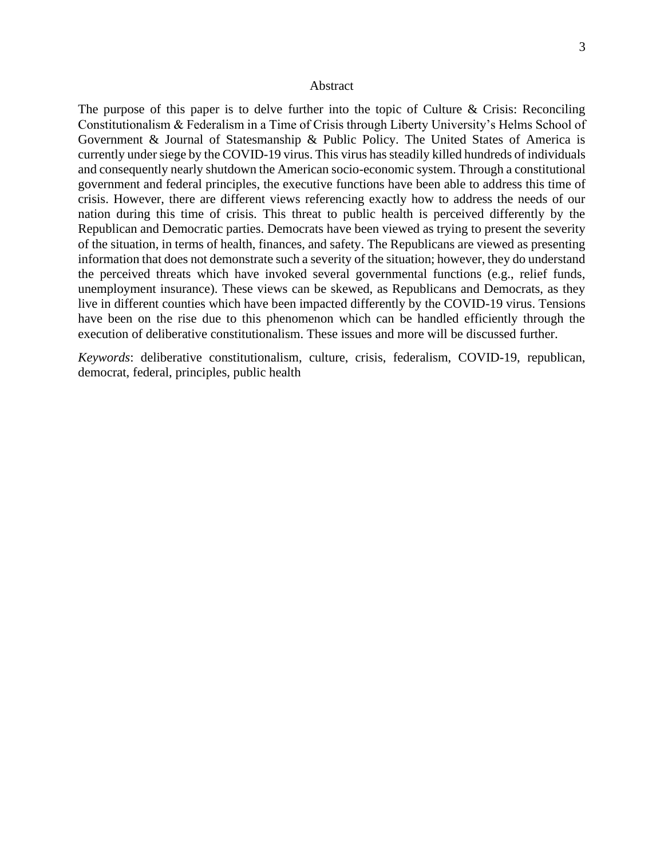#### Abstract

The purpose of this paper is to delve further into the topic of Culture  $\&$  Crisis: Reconciling Constitutionalism & Federalism in a Time of Crisis through Liberty University's Helms School of Government & Journal of Statesmanship & Public Policy. The United States of America is currently under siege by the COVID-19 virus. This virus has steadily killed hundreds of individuals and consequently nearly shutdown the American socio-economic system. Through a constitutional government and federal principles, the executive functions have been able to address this time of crisis. However, there are different views referencing exactly how to address the needs of our nation during this time of crisis. This threat to public health is perceived differently by the Republican and Democratic parties. Democrats have been viewed as trying to present the severity of the situation, in terms of health, finances, and safety. The Republicans are viewed as presenting information that does not demonstrate such a severity of the situation; however, they do understand the perceived threats which have invoked several governmental functions (e.g., relief funds, unemployment insurance). These views can be skewed, as Republicans and Democrats, as they live in different counties which have been impacted differently by the COVID-19 virus. Tensions have been on the rise due to this phenomenon which can be handled efficiently through the execution of deliberative constitutionalism. These issues and more will be discussed further.

*Keywords*: deliberative constitutionalism, culture, crisis, federalism, COVID-19, republican, democrat, federal, principles, public health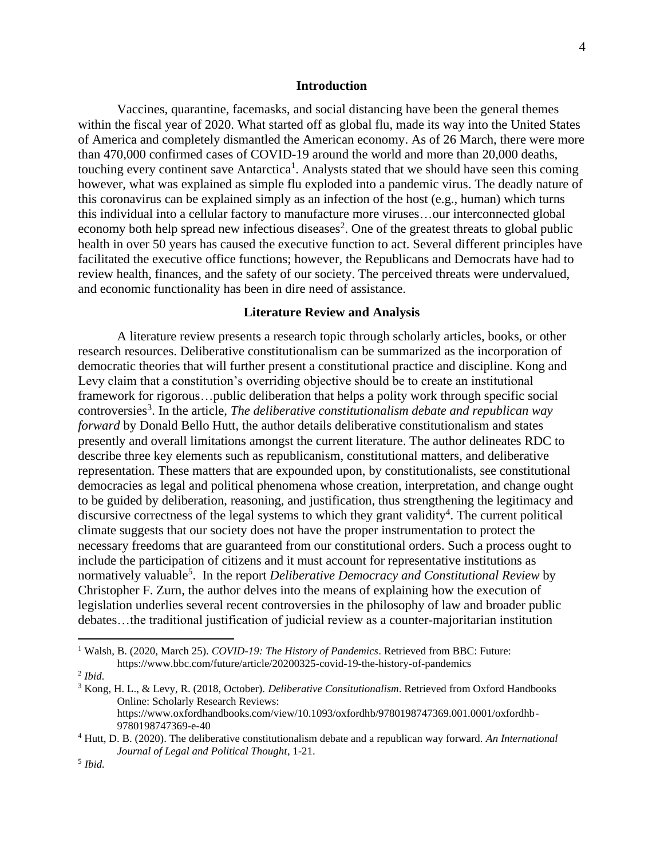# **Introduction**

Vaccines, quarantine, facemasks, and social distancing have been the general themes within the fiscal year of 2020. What started off as global flu, made its way into the United States of America and completely dismantled the American economy. As of 26 March, there were more than 470,000 confirmed cases of COVID-19 around the world and more than 20,000 deaths, touching every continent save Antarctica<sup>1</sup>. Analysts stated that we should have seen this coming however, what was explained as simple flu exploded into a pandemic virus. The deadly nature of this coronavirus can be explained simply as an infection of the host (e.g., human) which turns this individual into a cellular factory to manufacture more viruses…our interconnected global economy both help spread new infectious diseases<sup>2</sup>. One of the greatest threats to global public health in over 50 years has caused the executive function to act. Several different principles have facilitated the executive office functions; however, the Republicans and Democrats have had to review health, finances, and the safety of our society. The perceived threats were undervalued, and economic functionality has been in dire need of assistance.

# **Literature Review and Analysis**

A literature review presents a research topic through scholarly articles, books, or other research resources. Deliberative constitutionalism can be summarized as the incorporation of democratic theories that will further present a constitutional practice and discipline. Kong and Levy claim that a constitution's overriding objective should be to create an institutional framework for rigorous…public deliberation that helps a polity work through specific social controversies<sup>3</sup>. In the article, *The deliberative constitutionalism debate and republican way forward* by Donald Bello Hutt, the author details deliberative constitutionalism and states presently and overall limitations amongst the current literature. The author delineates RDC to describe three key elements such as republicanism, constitutional matters, and deliberative representation. These matters that are expounded upon, by constitutionalists, see constitutional democracies as legal and political phenomena whose creation, interpretation, and change ought to be guided by deliberation, reasoning, and justification, thus strengthening the legitimacy and discursive correctness of the legal systems to which they grant validity<sup>4</sup>. The current political climate suggests that our society does not have the proper instrumentation to protect the necessary freedoms that are guaranteed from our constitutional orders. Such a process ought to include the participation of citizens and it must account for representative institutions as normatively valuable<sup>5</sup>. In the report *Deliberative Democracy and Constitutional Review* by Christopher F. Zurn, the author delves into the means of explaining how the execution of legislation underlies several recent controversies in the philosophy of law and broader public debates…the traditional justification of judicial review as a counter-majoritarian institution

<sup>1</sup> Walsh, B. (2020, March 25). *COVID-19: The History of Pandemics*. Retrieved from BBC: Future: https://www.bbc.com/future/article/20200325-covid-19-the-history-of-pandemics

<sup>2</sup> *Ibid.*

<sup>3</sup> Kong, H. L., & Levy, R. (2018, October). *Deliberative Consitutionalism*. Retrieved from Oxford Handbooks Online: Scholarly Research Reviews: https://www.oxfordhandbooks.com/view/10.1093/oxfordhb/9780198747369.001.0001/oxfordhb-9780198747369-e-40

<sup>4</sup> Hutt, D. B. (2020). The deliberative constitutionalism debate and a republican way forward. *An International Journal of Legal and Political Thought*, 1-21.

<sup>5</sup> *Ibid.*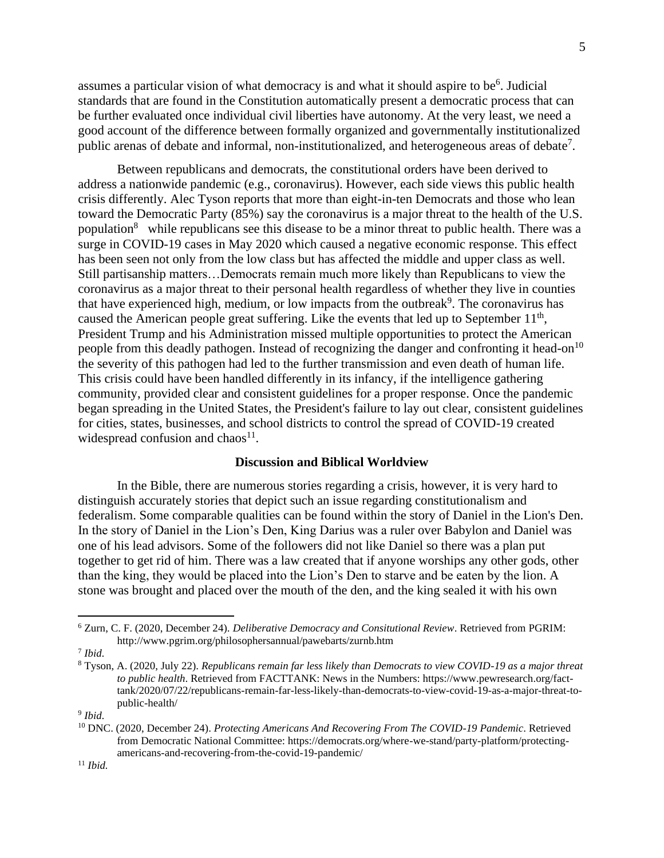assumes a particular vision of what democracy is and what it should aspire to be<sup>6</sup>. Judicial standards that are found in the Constitution automatically present a democratic process that can be further evaluated once individual civil liberties have autonomy. At the very least, we need a good account of the difference between formally organized and governmentally institutionalized public arenas of debate and informal, non-institutionalized, and heterogeneous areas of debate<sup>7</sup>.

Between republicans and democrats, the constitutional orders have been derived to address a nationwide pandemic (e.g., coronavirus). However, each side views this public health crisis differently. Alec Tyson reports that more than eight-in-ten Democrats and those who lean toward the Democratic Party (85%) say the coronavirus is a major threat to the health of the U.S. population<sup>8</sup> while republicans see this disease to be a minor threat to public health. There was a surge in COVID-19 cases in May 2020 which caused a negative economic response. This effect has been seen not only from the low class but has affected the middle and upper class as well. Still partisanship matters…Democrats remain much more likely than Republicans to view the coronavirus as a major threat to their personal health regardless of whether they live in counties that have experienced high, medium, or low impacts from the outbreak<sup>9</sup>. The coronavirus has caused the American people great suffering. Like the events that led up to September  $11<sup>th</sup>$ , President Trump and his Administration missed multiple opportunities to protect the American people from this deadly pathogen. Instead of recognizing the danger and confronting it head-on<sup>10</sup> the severity of this pathogen had led to the further transmission and even death of human life. This crisis could have been handled differently in its infancy, if the intelligence gathering community, provided clear and consistent guidelines for a proper response. Once the pandemic began spreading in the United States, the President's failure to lay out clear, consistent guidelines for cities, states, businesses, and school districts to control the spread of COVID-19 created widespread confusion and chaos $11$ .

# **Discussion and Biblical Worldview**

In the Bible, there are numerous stories regarding a crisis, however, it is very hard to distinguish accurately stories that depict such an issue regarding constitutionalism and federalism. Some comparable qualities can be found within the story of Daniel in the Lion's Den. In the story of Daniel in the Lion's Den, King Darius was a ruler over Babylon and Daniel was one of his lead advisors. Some of the followers did not like Daniel so there was a plan put together to get rid of him. There was a law created that if anyone worships any other gods, other than the king, they would be placed into the Lion's Den to starve and be eaten by the lion. A stone was brought and placed over the mouth of the den, and the king sealed it with his own

<sup>6</sup> Zurn, C. F. (2020, December 24). *Deliberative Democracy and Consitutional Review*. Retrieved from PGRIM: http://www.pgrim.org/philosophersannual/pawebarts/zurnb.htm

<sup>7</sup> *Ibid.*

<sup>8</sup> Tyson, A. (2020, July 22). *Republicans remain far less likely than Democrats to view COVID-19 as a major threat to public health*. Retrieved from FACTTANK: News in the Numbers: https://www.pewresearch.org/facttank/2020/07/22/republicans-remain-far-less-likely-than-democrats-to-view-covid-19-as-a-major-threat-topublic-health/

<sup>9</sup> *Ibid.*

<sup>10</sup> DNC. (2020, December 24). *Protecting Americans And Recovering From The COVID-19 Pandemic*. Retrieved from Democratic National Committee: https://democrats.org/where-we-stand/party-platform/protectingamericans-and-recovering-from-the-covid-19-pandemic/

<sup>11</sup> *Ibid.*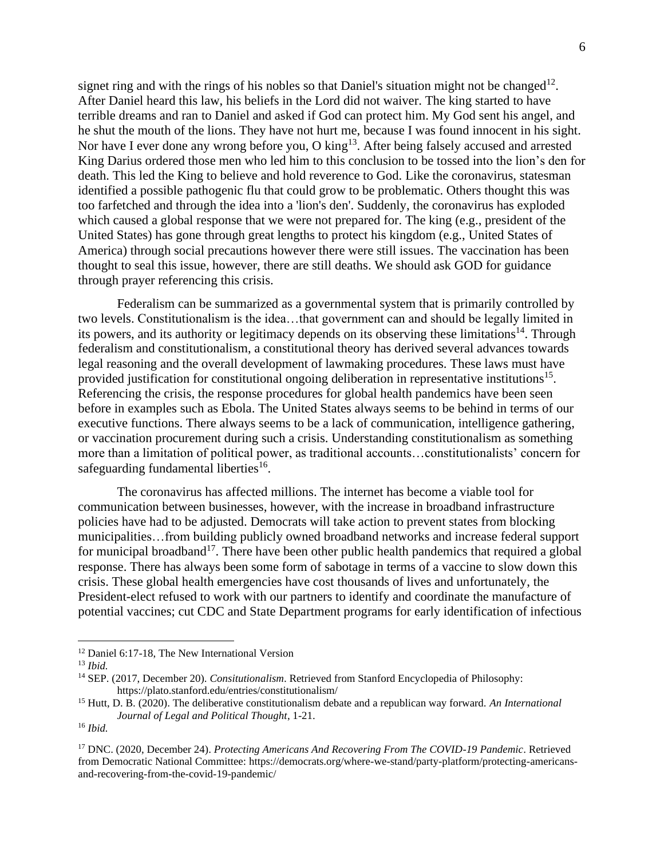signet ring and with the rings of his nobles so that Daniel's situation might not be changed<sup>12</sup>. After Daniel heard this law, his beliefs in the Lord did not waiver. The king started to have terrible dreams and ran to Daniel and asked if God can protect him. My God sent his angel, and he shut the mouth of the lions. They have not hurt me, because I was found innocent in his sight. Nor have I ever done any wrong before you, O king<sup>13</sup>. After being falsely accused and arrested King Darius ordered those men who led him to this conclusion to be tossed into the lion's den for death. This led the King to believe and hold reverence to God. Like the coronavirus, statesman identified a possible pathogenic flu that could grow to be problematic. Others thought this was too farfetched and through the idea into a 'lion's den'. Suddenly, the coronavirus has exploded which caused a global response that we were not prepared for. The king (e.g., president of the United States) has gone through great lengths to protect his kingdom (e.g., United States of America) through social precautions however there were still issues. The vaccination has been thought to seal this issue, however, there are still deaths. We should ask GOD for guidance through prayer referencing this crisis.

Federalism can be summarized as a governmental system that is primarily controlled by two levels. Constitutionalism is the idea…that government can and should be legally limited in its powers, and its authority or legitimacy depends on its observing these limitations<sup>14</sup>. Through federalism and constitutionalism, a constitutional theory has derived several advances towards legal reasoning and the overall development of lawmaking procedures. These laws must have provided justification for constitutional ongoing deliberation in representative institutions<sup>15</sup>. Referencing the crisis, the response procedures for global health pandemics have been seen before in examples such as Ebola. The United States always seems to be behind in terms of our executive functions. There always seems to be a lack of communication, intelligence gathering, or vaccination procurement during such a crisis. Understanding constitutionalism as something more than a limitation of political power, as traditional accounts…constitutionalists' concern for safeguarding fundamental liberties<sup>16</sup>.

The coronavirus has affected millions. The internet has become a viable tool for communication between businesses, however, with the increase in broadband infrastructure policies have had to be adjusted. Democrats will take action to prevent states from blocking municipalities…from building publicly owned broadband networks and increase federal support for municipal broadband<sup>17</sup>. There have been other public health pandemics that required a global response. There has always been some form of sabotage in terms of a vaccine to slow down this crisis. These global health emergencies have cost thousands of lives and unfortunately, the President-elect refused to work with our partners to identify and coordinate the manufacture of potential vaccines; cut CDC and State Department programs for early identification of infectious

<sup>&</sup>lt;sup>12</sup> Daniel 6:17-18, The New International Version

<sup>13</sup> *Ibid.*

<sup>14</sup> SEP. (2017, December 20). *Consitutionalism*. Retrieved from Stanford Encyclopedia of Philosophy: https://plato.stanford.edu/entries/constitutionalism/

<sup>15</sup> Hutt, D. B. (2020). The deliberative constitutionalism debate and a republican way forward. *An International Journal of Legal and Political Thought*, 1-21.

<sup>16</sup> *Ibid.*

<sup>17</sup> DNC. (2020, December 24). *Protecting Americans And Recovering From The COVID-19 Pandemic*. Retrieved from Democratic National Committee: https://democrats.org/where-we-stand/party-platform/protecting-americansand-recovering-from-the-covid-19-pandemic/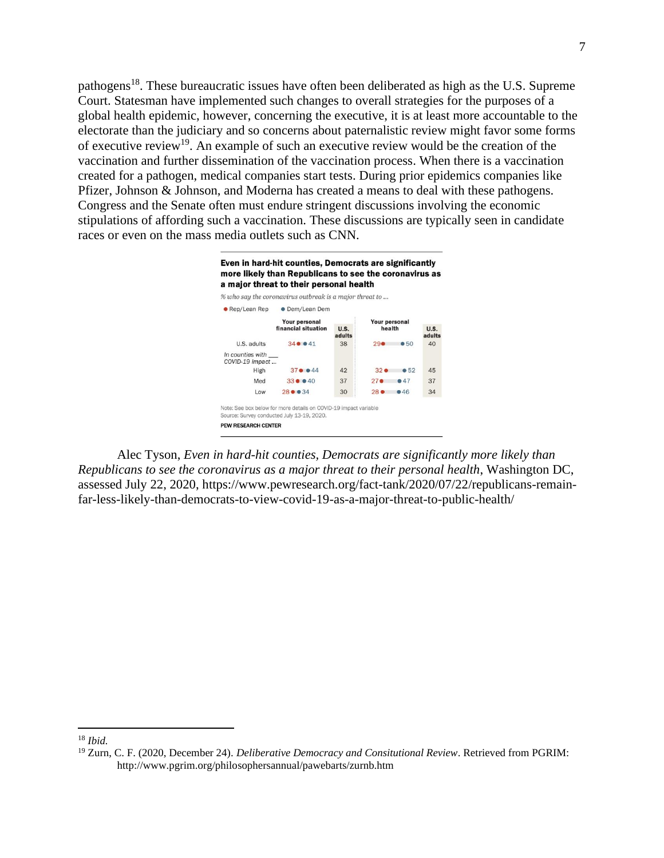pathogens<sup>18</sup>. These bureaucratic issues have often been deliberated as high as the U.S. Supreme Court. Statesman have implemented such changes to overall strategies for the purposes of a global health epidemic, however, concerning the executive, it is at least more accountable to the electorate than the judiciary and so concerns about paternalistic review might favor some forms of executive review<sup>19</sup>. An example of such an executive review would be the creation of the vaccination and further dissemination of the vaccination process. When there is a vaccination created for a pathogen, medical companies start tests. During prior epidemics companies like Pfizer, Johnson & Johnson, and Moderna has created a means to deal with these pathogens. Congress and the Senate often must endure stringent discussions involving the economic stipulations of affording such a vaccination. These discussions are typically seen in candidate races or even on the mass media outlets such as CNN.



Alec Tyson, *Even in hard-hit counties, Democrats are significantly more likely than Republicans to see the coronavirus as a major threat to their personal health*, Washington DC, assessed July 22, 2020, https://www.pewresearch.org/fact-tank/2020/07/22/republicans-remainfar-less-likely-than-democrats-to-view-covid-19-as-a-major-threat-to-public-health/

<sup>18</sup> *Ibid.*

<sup>19</sup> Zurn, C. F. (2020, December 24). *Deliberative Democracy and Consitutional Review*. Retrieved from PGRIM: http://www.pgrim.org/philosophersannual/pawebarts/zurnb.htm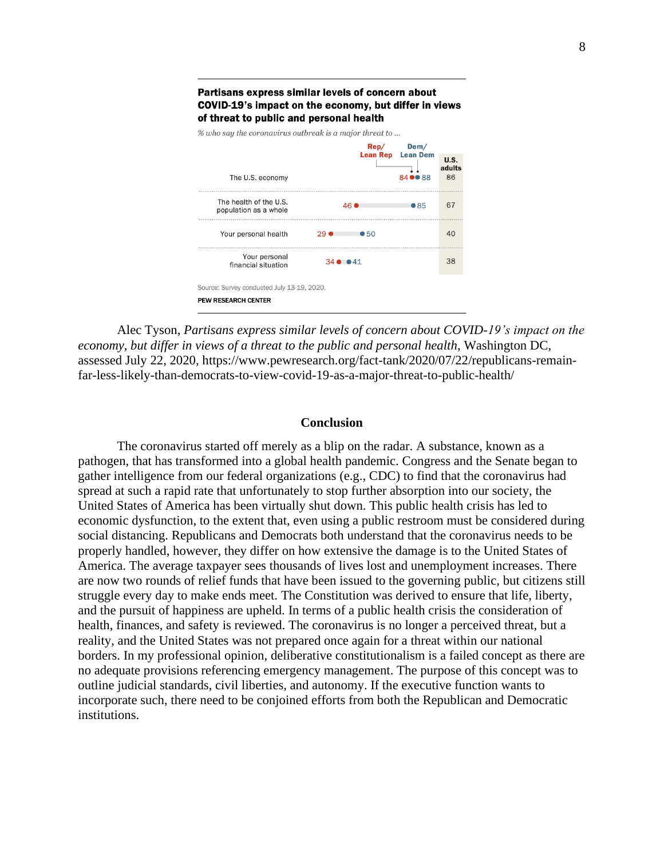# Partisans express similar levels of concern about COVID-19's impact on the economy, but differ in views of threat to public and personal health

% who say the coronavirus outbreak is a major threat to ...

| The U.S. economy                                                         | Rep/<br><b>Lean Rep</b> | Dem/<br><b>Lean Dem</b><br>84 00 88 | U.S.<br>adults<br>86 |
|--------------------------------------------------------------------------|-------------------------|-------------------------------------|----------------------|
| The health of the U.S.<br>population as a whole                          | 46 ●                    | $\bullet$ 85                        | 67                   |
| Your personal health                                                     | •50<br>29 €             |                                     | 40                   |
| Your personal<br>financial situation                                     | $34 \bullet 41$         |                                     | 38                   |
| Source: Survey conducted July 13-19, 2020.<br><b>PEW RESEARCH CENTER</b> |                         |                                     |                      |

Alec Tyson, *Partisans express similar levels of concern about COVID-19's impact on the economy, but differ in views of a threat to the public and personal health*, Washington DC, assessed July 22, 2020, https://www.pewresearch.org/fact-tank/2020/07/22/republicans-remainfar-less-likely-than-democrats-to-view-covid-19-as-a-major-threat-to-public-health/

# **Conclusion**

The coronavirus started off merely as a blip on the radar. A substance, known as a pathogen, that has transformed into a global health pandemic. Congress and the Senate began to gather intelligence from our federal organizations (e.g., CDC) to find that the coronavirus had spread at such a rapid rate that unfortunately to stop further absorption into our society, the United States of America has been virtually shut down. This public health crisis has led to economic dysfunction, to the extent that, even using a public restroom must be considered during social distancing. Republicans and Democrats both understand that the coronavirus needs to be properly handled, however, they differ on how extensive the damage is to the United States of America. The average taxpayer sees thousands of lives lost and unemployment increases. There are now two rounds of relief funds that have been issued to the governing public, but citizens still struggle every day to make ends meet. The Constitution was derived to ensure that life, liberty, and the pursuit of happiness are upheld. In terms of a public health crisis the consideration of health, finances, and safety is reviewed. The coronavirus is no longer a perceived threat, but a reality, and the United States was not prepared once again for a threat within our national borders. In my professional opinion, deliberative constitutionalism is a failed concept as there are no adequate provisions referencing emergency management. The purpose of this concept was to outline judicial standards, civil liberties, and autonomy. If the executive function wants to incorporate such, there need to be conjoined efforts from both the Republican and Democratic institutions.